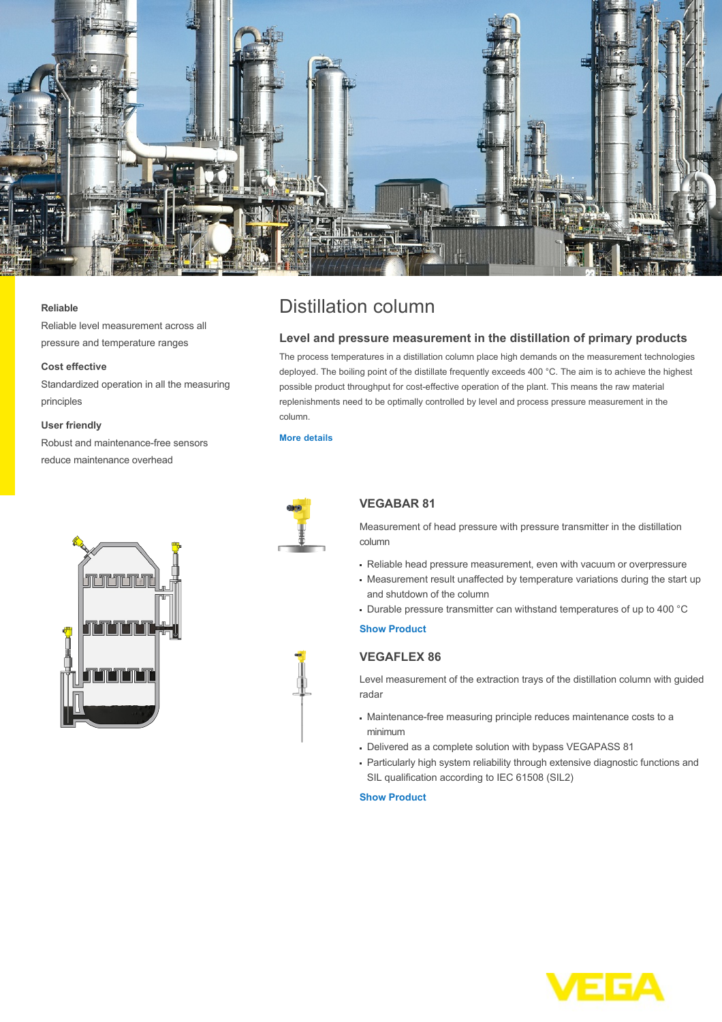

#### **Reliable**

Reliable level measurement across all pressure and temperature ranges

### **Cost effective**

Standardized operation in all the measuring principles

#### **User friendly**

Robust and maintenance-free sensors reduce maintenance overhead



# Distillation column

## **Level and pressure measurement in the distillation of primary products**

The process temperatures in a distillation column place high demands on the measurement technologies deployed. The boiling point of the distillate frequently exceeds 400 °C. The aim is to achieve the highest possible product throughput for cost-effective operation of the plant. This means the raw material replenishments need to be optimally controlled by level and process pressure measurement in the column.

### **[More details](http://localhost/en-us/industries/chemical/distillation-column)**



## **VEGABAR 81**

Measurement of head pressure with pressure transmitter in the distillation column

- Reliable head pressure measurement, even with vacuum or overpressure
- Measurement result unaffected by temperature variations during the start up and shutdown of the column
- Durable pressure transmitter can withstand temperatures of up to 400 °C

## **[Show Product](http://localhost/en-us/products/product-catalog/pressure/hydrostatic/vegabar-81)**

# **VEGAFLEX 86**

Level measurement of the extraction trays of the distillation column with guided radar

- Maintenance-free measuring principle reduces maintenance costs to a minimum
- Delivered as a complete solution with bypass VEGAPASS 81
- Particularly high system reliability through extensive diagnostic functions and SIL qualification according to IEC 61508 (SIL2)

#### **[Show Product](http://localhost/en-us/products/product-catalog/level/guided-wave-radar/vegaflex-86)**